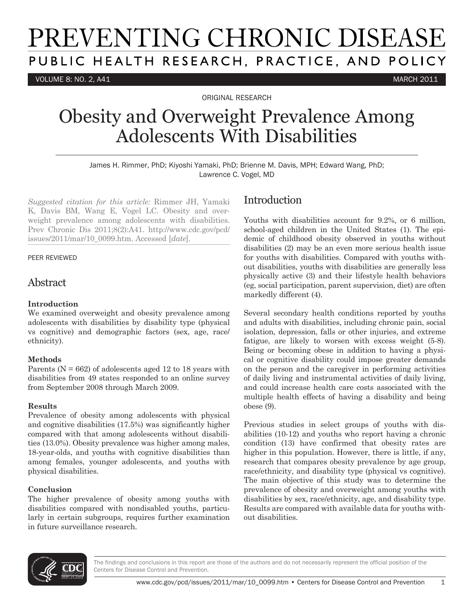# PREVENTING CHRONIC DISEASE PUBLIC HEALTH RESEARCH, PRACTICE, AND POLICY

VOLUME 8: NO. 2, A41 MARCH 2011

ORIGINAL RESEARCH

## Obesity and Overweight Prevalence Among Adolescents With Disabilities

James H. Rimmer, PhD; Kiyoshi Yamaki, PhD; Brienne M. Davis, MPH; Edward Wang, PhD; Lawrence C. Vogel, MD

*Suggested citation for this article:* Rimmer JH, Yamaki K, Davis BM, Wang E, Vogel LC. Obesity and overweight prevalence among adolescents with disabilities. Prev Chronic Dis 2011;8(2):A41. http://www.cdc.gov/pcd/ issues/2011/mar/10\_0099.htm. Accessed [*date*].

#### PEER REVIEWED

### Abstract

#### **Introduction**

We examined overweight and obesity prevalence among adolescents with disabilities by disability type (physical vs cognitive) and demographic factors (sex, age, race/ ethnicity).

#### **Methods**

Parents ( $N = 662$ ) of adolescents aged 12 to 18 years with disabilities from 49 states responded to an online survey from September 2008 through March 2009.

#### **Results**

Prevalence of obesity among adolescents with physical and cognitive disabilities (17.5%) was significantly higher compared with that among adolescents without disabilities (13.0%). Obesity prevalence was higher among males, 18-year-olds, and youths with cognitive disabilities than among females, younger adolescents, and youths with physical disabilities.

#### **Conclusion**

The higher prevalence of obesity among youths with disabilities compared with nondisabled youths, particularly in certain subgroups, requires further examination in future surveillance research.

## Introduction

Youths with disabilities account for 9.2%, or 6 million, school-aged children in the United States (1). The epidemic of childhood obesity observed in youths without disabilities (2) may be an even more serious health issue for youths with disabilities. Compared with youths without disabilities, youths with disabilities are generally less physically active (3) and their lifestyle health behaviors (eg, social participation, parent supervision, diet) are often markedly different (4).

Several secondary health conditions reported by youths and adults with disabilities, including chronic pain, social isolation, depression, falls or other injuries, and extreme fatigue, are likely to worsen with excess weight (5-8). Being or becoming obese in addition to having a physical or cognitive disability could impose greater demands on the person and the caregiver in performing activities of daily living and instrumental activities of daily living, and could increase health care costs associated with the multiple health effects of having a disability and being obese (9).

Previous studies in select groups of youths with disabilities (10-12) and youths who report having a chronic condition (13) have confirmed that obesity rates are higher in this population. However, there is little, if any, research that compares obesity prevalence by age group, race/ethnicity, and disability type (physical vs cognitive). The main objective of this study was to determine the prevalence of obesity and overweight among youths with disabilities by sex, race/ethnicity, age, and disability type. Results are compared with available data for youths without disabilities.

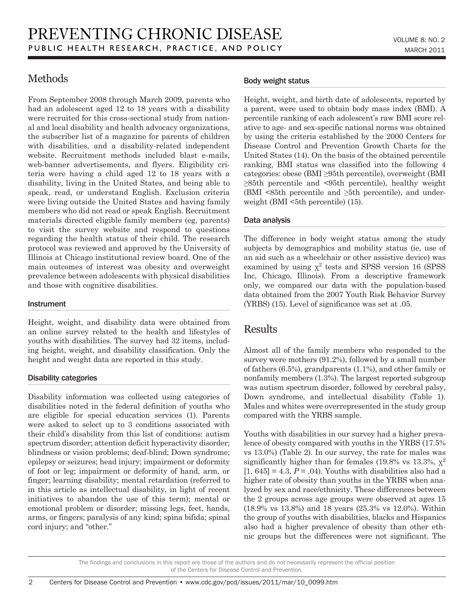## Methods

From September 2008 through March 2009, parents who had an adolescent aged 12 to 18 years with a disability were recruited for this cross-sectional study from national and local disability and health advocacy organizations, the subscriber list of a magazine for parents of children with disabilities, and a disability-related independent website. Recruitment methods included blast e-mails, web-banner advertisements, and flyers. Eligibility criteria were having a child aged 12 to 18 years with a disability, living in the United States, and being able to speak, read, or understand English. Exclusion criteria were living outside the United States and having family members who did not read or speak English. Recruitment materials directed eligible family members (eg, parents) to visit the survey website and respond to questions regarding the health status of their child. The research protocol was reviewed and approved by the University of Illinois at Chicago institutional review board. One of the main outcomes of interest was obesity and overweight prevalence between adolescents with physical disabilities and those with cognitive disabilities.

#### **Instrument**

 $\overline{2}$ 

Height, weight, and disability data were obtained from an online survey related to the health and lifestyles of youths with disabilities. The survey had 32 items, including height, weight, and disability classification. Only the height and weight data are reported in this study.

#### Disability categories

Disability information was collected using categories of disabilities noted in the federal definition of youths who are eligible for special education services (1). Parents were asked to select up to 3 conditions associated with their child's disability from this list of conditions: autism spectrum disorder; attention deficit hyperactivity disorder; blindness or vision problems; deaf-blind; Down syndrome; epilepsy or seizures; head injury; impairment or deformity of foot or leg; impairment or deformity of hand, arm, or finger; learning disability; mental retardation (referred to in this article as intellectual disability, in light of recent initiatives to abandon the use of this term); mental or emotional problem or disorder; missing legs, feet, hands, arms, or fingers; paralysis of any kind; spina bifida; spinal cord injury; and "other."

#### Body weight status

Height, weight, and birth date of adolescents, reported by a parent, were used to obtain body mass index (BMI). A percentile ranking of each adolescent's raw BMI score relative to age- and sex-specific national norms was obtained by using the criteria established by the 2000 Centers for Disease Control and Prevention Growth Charts for the United States (14). On the basis of the obtained percentile ranking, BMI status was classified into the following 4 categories: obese (BMI ≥95th percentile), overweight (BMI ≥85th percentile and <95th percentile), healthy weight (BMI  $\leq$ 85th percentile and  $\geq$ 5th percentile), and underweight (BMI  $\leq 5$ th percentile) (15).

#### Data analysis

The difference in body weight status among the study subjects by demographics and mobility status (ie, use of an aid such as a wheelchair or other assistive device) was examined by using  $\chi^2$  tests and SPSS version 16 (SPSS Inc, Chicago, Illinois). From a descriptive framework only, we compared our data with the population-based data obtained from the 2007 Youth Risk Behavior Survey (YRBS) (15). Level of significance was set at .05.

## Results

Almost all of the family members who responded to the survey were mothers (91.2%), followed by a small number of fathers (6.5%), grandparents (1.1%), and other family or nonfamily members (1.3%). The largest reported subgroup was autism spectrum disorder, followed by cerebral palsy, Down syndrome, and intellectual disability (Table 1). Males and whites were overrepresented in the study group compared with the YRBS sample.

Youths with disabilities in our survey had a higher prevalence of obesity compared with youths in the YRBS (17.5% vs 13.0%) (Table 2). In our survey, the rate for males was significantly higher than for females (19.8% vs 13.3%,  $\chi^2$ )  $[1, 645] = 4.3, P = .04$ . Youths with disabilities also had a higher rate of obesity than youths in the YRBS when analyzed by sex and race/ethnicity. These differences between the 2 groups across age groups were observed at ages 15 (18.9% vs 13.8%) and 18 years (25.3% vs 12.0%). Within the group of youths with disabilities, blacks and Hispanics also had a higher prevalence of obesity than other ethnic groups but the differences were not significant. The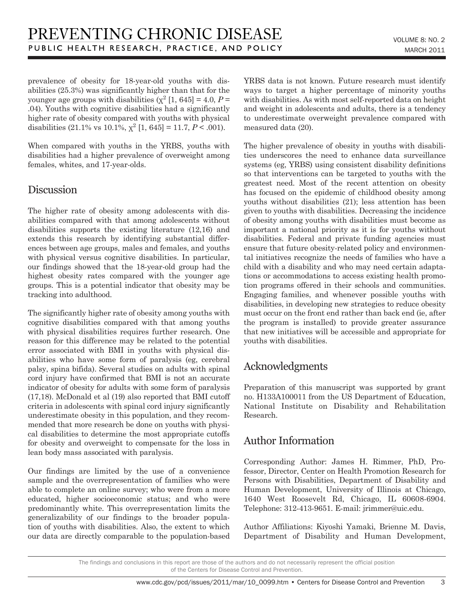prevalence of obesity for 18-year-old youths with disabilities (25.3%) was significantly higher than that for the younger age groups with disabilities  $(\chi^2 \mid 1, 645] = 4.0$ ,  $P =$ .04). Youths with cognitive disabilities had a significantly higher rate of obesity compared with youths with physical disabilities (21.1% vs 10.1%,  $\chi^2$  [1, 645] = 11.7, *P* < .001).

When compared with youths in the YRBS, youths with disabilities had a higher prevalence of overweight among females, whites, and 17-year-olds.

## Discussion

The higher rate of obesity among adolescents with disabilities compared with that among adolescents without disabilities supports the existing literature (12,16) and extends this research by identifying substantial differences between age groups, males and females, and youths with physical versus cognitive disabilities. In particular, our findings showed that the 18-year-old group had the highest obesity rates compared with the younger age groups. This is a potential indicator that obesity may be tracking into adulthood.

The significantly higher rate of obesity among youths with cognitive disabilities compared with that among youths with physical disabilities requires further research. One reason for this difference may be related to the potential error associated with BMI in youths with physical disabilities who have some form of paralysis (eg, cerebral palsy, spina bifida). Several studies on adults with spinal cord injury have confirmed that BMI is not an accurate indicator of obesity for adults with some form of paralysis (17,18). McDonald et al (19) also reported that BMI cutoff criteria in adolescents with spinal cord injury significantly underestimate obesity in this population, and they recommended that more research be done on youths with physical disabilities to determine the most appropriate cutoffs for obesity and overweight to compensate for the loss in lean body mass associated with paralysis.

Our findings are limited by the use of a convenience sample and the overrepresentation of families who were able to complete an online survey; who were from a more educated, higher socioeconomic status; and who were predominantly white. This overrepresentation limits the generalizability of our findings to the broader population of youths with disabilities. Also, the extent to which our data are directly comparable to the population-based YRBS data is not known. Future research must identify ways to target a higher percentage of minority youths with disabilities. As with most self-reported data on height and weight in adolescents and adults, there is a tendency to underestimate overweight prevalence compared with measured data (20).

The higher prevalence of obesity in youths with disabilities underscores the need to enhance data surveillance systems (eg, YRBS) using consistent disability definitions so that interventions can be targeted to youths with the greatest need. Most of the recent attention on obesity has focused on the epidemic of childhood obesity among youths without disabilities (21); less attention has been given to youths with disabilities. Decreasing the incidence of obesity among youths with disabilities must become as important a national priority as it is for youths without disabilities. Federal and private funding agencies must ensure that future obesity-related policy and environmental initiatives recognize the needs of families who have a child with a disability and who may need certain adaptations or accommodations to access existing health promotion programs offered in their schools and communities. Engaging families, and whenever possible youths with disabilities, in developing new strategies to reduce obesity must occur on the front end rather than back end (ie, after the program is installed) to provide greater assurance that new initiatives will be accessible and appropriate for youths with disabilities.

## Acknowledgments

Preparation of this manuscript was supported by grant no. H133A100011 from the US Department of Education, National Institute on Disability and Rehabilitation Research.

## Author Information

Corresponding Author: James H. Rimmer, PhD, Professor, Director, Center on Health Promotion Research for Persons with Disabilities, Department of Disability and Human Development, University of Illinois at Chicago, 1640 West Roosevelt Rd, Chicago, IL 60608-6904. Telephone: 312-413-9651. E-mail: jrimmer@uic.edu.

Author Affiliations: Kiyoshi Yamaki, Brienne M. Davis, Department of Disability and Human Development,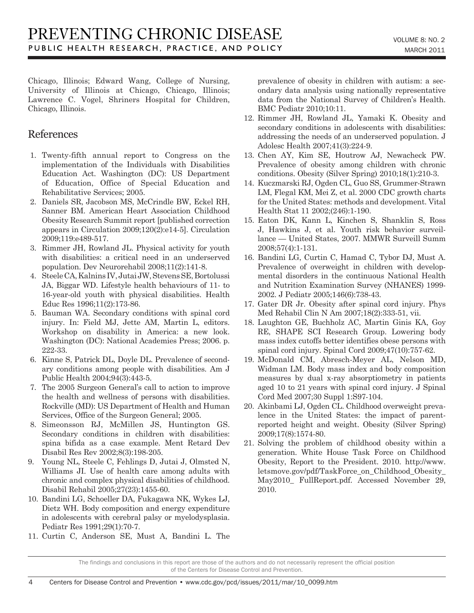Chicago, Illinois; Edward Wang, College of Nursing, University of Illinois at Chicago, Chicago, Illinois; Lawrence C. Vogel, Shriners Hospital for Children, Chicago, Illinois.

## References

- 1. Twenty-fifth annual report to Congress on the implementation of the Individuals with Disabilities Education Act. Washington (DC): US Department of Education, Office of Special Education and Rehabilitative Services; 2005.
- 2. Daniels SR, Jacobson MS, McCrindle BW, Eckel RH, Sanner BM. American Heart Association Childhood Obesity Research Summit report [published correction appears in Circulation 2009;120(2):e14-5]. Circulation 2009;119:e489-517.
- 3. Rimmer JH, Rowland JL. Physical activity for youth with disabilities: a critical need in an underserved population. Dev Neurorehabil 2008;11(2):141-8.
- 4. Steele CA, Kalnins IV, Jutai JW, Stevens SE, Bortolussi JA, Biggar WD. Lifestyle health behaviours of 11- to 16-year-old youth with physical disabilities. Health Educ Res 1996;11(2):173-86.
- 5. Bauman WA. Secondary conditions with spinal cord injury. In: Field MJ, Jette AM, Martin L, editors. Workshop on disability in America: a new look. Washington (DC): National Academies Press; 2006. p. 222-33.
- 6. Kinne S, Patrick DL, Doyle DL. Prevalence of secondary conditions among people with disabilities. Am J Public Health 2004;94(3):443-5.
- 7. The 2005 Surgeon General's call to action to improve the health and wellness of persons with disabilities. Rockville (MD): US Department of Health and Human Services, Office of the Surgeon General; 2005.
- 8. Simeonsson RJ, McMillen JS, Huntington GS. Secondary conditions in children with disabilities: spina bifida as a case example. Ment Retard Dev Disabil Res Rev 2002;8(3):198-205.
- 9. Young NL, Steele C, Fehlings D, Jutai J, Olmsted N, Williams JI. Use of health care among adults with chronic and complex physical disabilities of childhood. Disabil Rehabil 2005;27(23):1455-60.
- 10. Bandini LG, Schoeller DA, Fukagawa NK, Wykes LJ, Dietz WH. Body composition and energy expenditure in adolescents with cerebral palsy or myelodysplasia. Pediatr Res 1991;29(1):70-7.
- 11. Curtin C, Anderson SE, Must A, Bandini L. The

prevalence of obesity in children with autism: a secondary data analysis using nationally representative data from the National Survey of Children's Health. BMC Pediatr 2010;10:11.

- 12. Rimmer JH, Rowland JL, Yamaki K. Obesity and secondary conditions in adolescents with disabilities: addressing the needs of an underserved population. J Adolesc Health 2007;41(3):224-9.
- 13. Chen AY, Kim SE, Houtrow AJ, Newacheck PW. Prevalence of obesity among children with chronic conditions. Obesity (Silver Spring) 2010;18(1):210-3.
- 14. Kuczmarski RJ, Ogden CL, Guo SS, Grummer-Strawn LM, Flegal KM, Mei Z, et al. 2000 CDC growth charts for the United States: methods and development. Vital Health Stat 11 2002;(246):1-190.
- 15. Eaton DK, Kann L, Kinchen S, Shanklin S, Ross J, Hawkins J, et al. Youth risk behavior surveillance — United States, 2007. MMWR Surveill Summ 2008;57(4):1-131.
- 16. Bandini LG, Curtin C, Hamad C, Tybor DJ, Must A. Prevalence of overweight in children with developmental disorders in the continuous National Health and Nutrition Examination Survey (NHANES) 1999- 2002. J Pediatr 2005;146(6):738-43.
- 17. Gater DR Jr. Obesity after spinal cord injury. Phys Med Rehabil Clin N Am 2007;18(2):333-51, vii.
- 18. Laughton GE, Buchholz AC, Martin Ginis KA, Goy RE, SHAPE SCI Research Group. Lowering body mass index cutoffs better identifies obese persons with spinal cord injury. Spinal Cord 2009;47(10):757-62.
- 19. McDonald CM, Abresch-Meyer AL, Nelson MD, Widman LM. Body mass index and body composition measures by dual x-ray absorptiometry in patients aged 10 to 21 years with spinal cord injury. J Spinal Cord Med 2007;30 Suppl 1:S97-104.
- 20. Akinbami LJ, Ogden CL. Childhood overweight prevalence in the United States: the impact of parentreported height and weight. Obesity (Silver Spring) 2009;17(8):1574-80.
- 21. Solving the problem of childhood obesity within a generation. White House Task Force on Childhood Obesity, Report to the President. 2010. http://www. letsmove.gov/pdf/TaskForce\_on\_Childhood\_Obesity\_ May2010\_ FullReport.pdf. Accessed November 29, 2010.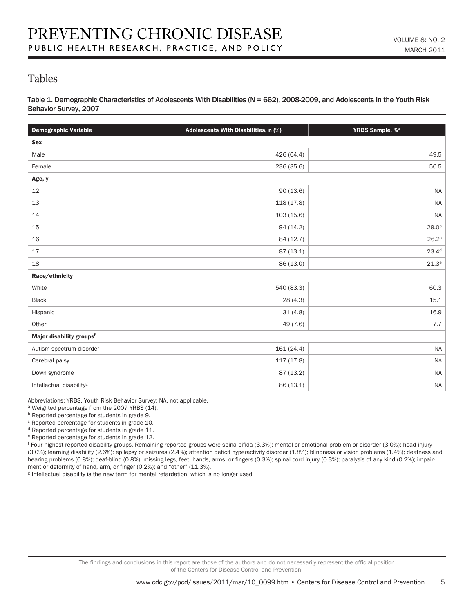## Tables

Table 1. Demographic Characteristics of Adolescents With Disabilities (N = 662), 2008-2009, and Adolescents in the Youth Risk Behavior Survey, 2007

| <b>Demographic Variable</b>          | Adolescents With Disabilities, n (%) | YRBS Sample, % <sup>a</sup> |  |  |  |  |
|--------------------------------------|--------------------------------------|-----------------------------|--|--|--|--|
| Sex                                  |                                      |                             |  |  |  |  |
| Male                                 | 426 (64.4)                           | 49.5                        |  |  |  |  |
| Female                               | 236 (35.6)                           | 50.5                        |  |  |  |  |
| Age, y                               |                                      |                             |  |  |  |  |
| 12                                   | 90(13.6)                             | <b>NA</b>                   |  |  |  |  |
| 13                                   | 118 (17.8)                           | $\sf NA$                    |  |  |  |  |
| 14                                   | 103(15.6)                            | <b>NA</b>                   |  |  |  |  |
| 15                                   | 94 (14.2)                            | 29.0 <sup>b</sup>           |  |  |  |  |
| 16                                   | 84 (12.7)                            | $26.2^\circ$                |  |  |  |  |
| 17                                   | 87(13.1)                             | $23.4^d$                    |  |  |  |  |
| 18                                   | 86 (13.0)                            | $21.3^e$                    |  |  |  |  |
| Race/ethnicity                       |                                      |                             |  |  |  |  |
| White                                | 540 (83.3)                           | 60.3                        |  |  |  |  |
| Black                                | 28 (4.3)                             | 15.1                        |  |  |  |  |
| Hispanic                             | 31(4.8)                              | 16.9                        |  |  |  |  |
| Other                                | 49 (7.6)                             | 7.7                         |  |  |  |  |
| Major disability groups <sup>f</sup> |                                      |                             |  |  |  |  |
| Autism spectrum disorder             | 161 (24.4)                           | <b>NA</b>                   |  |  |  |  |
| Cerebral palsy                       | 117 (17.8)                           | $\sf NA$                    |  |  |  |  |
| Down syndrome                        | 87 (13.2)                            | <b>NA</b>                   |  |  |  |  |
| Intellectual disability <sup>g</sup> | 86 (13.1)                            | <b>NA</b>                   |  |  |  |  |

Abbreviations: YRBS, Youth Risk Behavior Survey; NA, not applicable.

a Weighted percentage from the 2007 YRBS (14).

b Reported percentage for students in grade 9.

<sup>c</sup> Reported percentage for students in grade 10.

d Reported percentage for students in grade 11.

e Reported percentage for students in grade 12.

f Four highest reported disability groups. Remaining reported groups were spina bifida (3.3%); mental or emotional problem or disorder (3.0%); head injury (3.0%); learning disability (2.6%); epilepsy or seizures (2.4%); attention deficit hyperactivity disorder (1.8%); blindness or vision problems (1.4%); deafness and hearing problems (0.8%); deaf-blind (0.8%); missing legs, feet, hands, arms, or fingers (0.3%); spinal cord injury (0.3%); paralysis of any kind (0.2%); impairment or deformity of hand, arm, or finger (0.2%); and "other" (11.3%).

<sup>g</sup> Intellectual disability is the new term for mental retardation, which is no longer used.